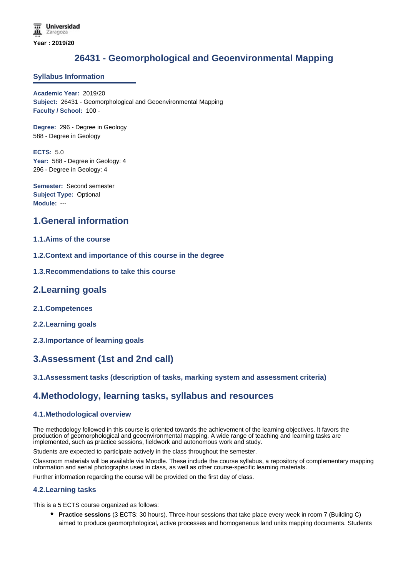# **26431 - Geomorphological and Geoenvironmental Mapping**

### **Syllabus Information**

**Academic Year:** 2019/20 **Subject:** 26431 - Geomorphological and Geoenvironmental Mapping **Faculty / School:** 100 -

**Degree:** 296 - Degree in Geology 588 - Degree in Geology

**ECTS:** 5.0 Year: 588 - Degree in Geology: 4 296 - Degree in Geology: 4

**Semester:** Second semester **Subject Type:** Optional **Module:** ---

# **1.General information**

## **1.1.Aims of the course**

- **1.2.Context and importance of this course in the degree**
- **1.3.Recommendations to take this course**

## **2.Learning goals**

- **2.1.Competences**
- **2.2.Learning goals**
- **2.3.Importance of learning goals**

# **3.Assessment (1st and 2nd call)**

## **3.1.Assessment tasks (description of tasks, marking system and assessment criteria)**

## **4.Methodology, learning tasks, syllabus and resources**

#### **4.1.Methodological overview**

The methodology followed in this course is oriented towards the achievement of the learning objectives. It favors the production of geomorphological and geoenvironmental mapping. A wide range of teaching and learning tasks are implemented, such as practice sessions, fieldwork and autonomous work and study.

Students are expected to participate actively in the class throughout the semester.

Classroom materials will be available via Moodle. These include the course syllabus, a repository of complementary mapping information and aerial photographs used in class, as well as other course-specific learning materials.

Further information regarding the course will be provided on the first day of class.

#### **4.2.Learning tasks**

This is a 5 ECTS course organized as follows:

**Practice sessions** (3 ECTS: 30 hours). Three-hour sessions that take place every week in room 7 (Building C) aimed to produce geomorphological, active processes and homogeneous land units mapping documents. Students